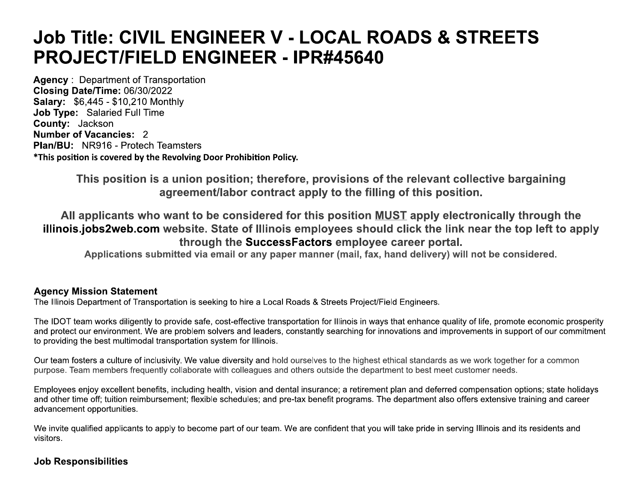# **Job Title: CIVIL ENGINEER V - LOCAL ROADS & STREETS PROJECT/FIELD ENGINEER - IPR#45640**

**Agency: Department of Transportation** Closing Date/Time: 06/30/2022 **Salary: \$6,445 - \$10,210 Monthly Job Type: Salaried Full Time** County: Jackson **Number of Vacancies: 2 Plan/BU: NR916 - Protech Teamsters** \*This position is covered by the Revolving Door Prohibition Policy.

> This position is a union position; therefore, provisions of the relevant collective bargaining agreement/labor contract apply to the filling of this position.

All applicants who want to be considered for this position MUST apply electronically through the illinois.jobs2web.com website. State of Illinois employees should click the link near the top left to apply through the SuccessFactors employee career portal.

Applications submitted via email or any paper manner (mail, fax, hand delivery) will not be considered.

#### **Agency Mission Statement**

The Illinois Department of Transportation is seeking to hire a Local Roads & Streets Project/Field Engineers.

The IDOT team works diligently to provide safe, cost-effective transportation for Illinois in ways that enhance quality of life, promote economic prosperity and protect our environment. We are problem solvers and leaders, constantly searching for innovations and improvements in support of our commitment to providing the best multimodal transportation system for Illinois.

Our team fosters a culture of inclusivity. We value diversity and hold ourselves to the highest ethical standards as we work together for a common purpose. Team members frequently collaborate with colleagues and others outside the department to best meet customer needs.

Employees enjoy excellent benefits, including health, vision and dental insurance; a retirement plan and deferred compensation options; state holidays and other time off; tuition reimbursement; flexible schedules; and pre-tax benefit programs. The department also offers extensive training and career advancement opportunities.

We invite qualified applicants to apply to become part of our team. We are confident that you will take pride in serving Illinois and its residents and visitors.

## **Job Responsibilities**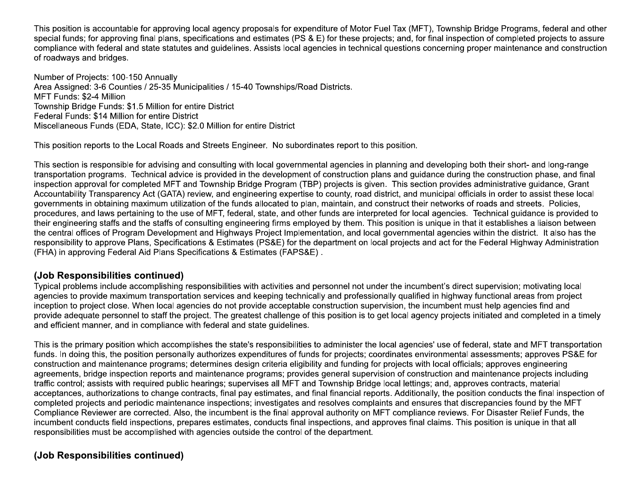This position is accountable for approving local agency proposals for expenditure of Motor Fuel Tax (MFT), Township Bridge Programs, federal and other special funds; for approving final plans, specifications and estimates (PS & E) for these projects; and, for final inspection of completed projects to assure compliance with federal and state statutes and guidelines. Assists local agencies in technical questions concerning proper maintenance and construction of roadways and bridges.

Number of Projects: 100-150 Annually Area Assigned: 3-6 Counties / 25-35 Municipalities / 15-40 Townships/Road Districts. MFT Funds: \$2-4 Million Township Bridge Funds: \$1.5 Million for entire District Federal Funds: \$14 Million for entire District Miscellaneous Funds (EDA, State, ICC): \$2.0 Million for entire District

This position reports to the Local Roads and Streets Engineer. No subordinates report to this position.

This section is responsible for advising and consulting with local governmental agencies in planning and developing both their short- and long-range transportation programs. Technical advice is provided in the development of construction plans and quidance during the construction phase, and final inspection approval for completed MFT and Township Bridge Program (TBP) projects is given. This section provides administrative guidance, Grant Accountability Transparency Act (GATA) review, and engineering expertise to county, road district, and municipal officials in order to assist these local governments in obtaining maximum utilization of the funds allocated to plan, maintain, and construct their networks of roads and streets. Policies, procedures, and laws pertaining to the use of MFT, federal, state, and other funds are interpreted for local agencies. Technical guidance is provided to their engineering staffs and the staffs of consulting engineering firms employed by them. This position is unique in that it establishes a liaison between the central offices of Program Development and Highways Project Implementation, and local governmental agencies within the district. It also has the responsibility to approve Plans, Specifications & Estimates (PS&E) for the department on local projects and act for the Federal Highway Administration (FHA) in approving Federal Aid Plans Specifications & Estimates (FAPS&E).

#### (Job Responsibilities continued)

Typical problems include accomplishing responsibilities with activities and personnel not under the incumbent's direct supervision; motivating local agencies to provide maximum transportation services and keeping technically and professionally qualified in highway functional areas from project inception to project close. When local agencies do not provide acceptable construction supervision, the incumbent must help agencies find and provide adequate personnel to staff the project. The greatest challenge of this position is to get local agency projects initiated and completed in a timely and efficient manner, and in compliance with federal and state quidelines.

This is the primary position which accomplishes the state's responsibilities to administer the local agencies' use of federal, state and MFT transportation funds. In doing this, the position personally authorizes expenditures of funds for projects; coordinates environmental assessments; approves PS&E for construction and maintenance programs; determines design criteria eligibility and funding for projects with local officials; approves engineering agreements, bridge inspection reports and maintenance programs; provides general supervision of construction and maintenance projects including traffic control; assists with required public hearings; supervises all MFT and Township Bridge local lettings; and, approves contracts, material acceptances, authorizations to change contracts, final pay estimates, and final financial reports. Additionally, the position conducts the final inspection of completed projects and periodic maintenance inspections; investigates and resolves complaints and ensures that discrepancies found by the MFT Compliance Reviewer are corrected. Also, the incumbent is the final approval authority on MFT compliance reviews. For Disaster Relief Funds, the incumbent conducts field inspections, prepares estimates, conducts final inspections, and approves final claims. This position is unique in that all responsibilities must be accomplished with agencies outside the control of the department.

# (Job Responsibilities continued)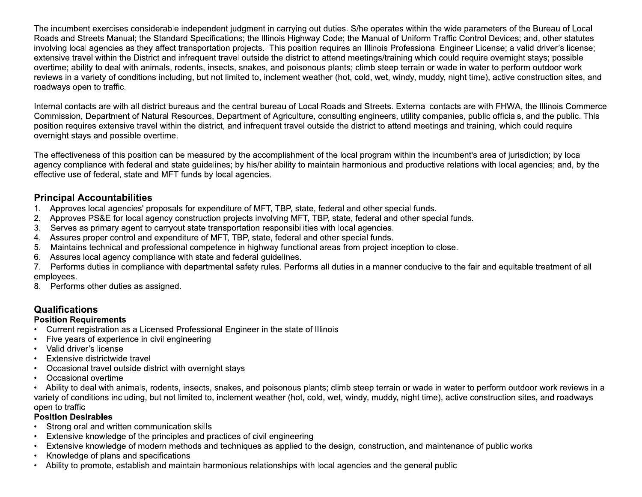The incumbent exercises considerable independent judgment in carrying out duties. S/he operates within the wide parameters of the Bureau of Local Roads and Streets Manual; the Standard Specifications; the Illinois Highway Code; the Manual of Uniform Traffic Control Devices; and, other statutes involving local agencies as they affect transportation projects. This position requires an Illinois Professional Engineer License; a valid driver's license; extensive travel within the District and infrequent travel outside the district to attend meetings/training which could require overnight stays; possible overtime; ability to deal with animals, rodents, insects, snakes, and poisonous plants; climb steep terrain or wade in water to perform outdoor work reviews in a variety of conditions including, but not limited to, inclement weather (hot, cold, wet, windy, muddy, night time), active construction sites, and roadways open to traffic.

Internal contacts are with all district bureaus and the central bureau of Local Roads and Streets. External contacts are with FHWA, the Illinois Commerce Commission, Department of Natural Resources, Department of Agriculture, consulting engineers, utility companies, public officials, and the public. This position requires extensive travel within the district, and infrequent travel outside the district to attend meetings and training, which could require overnight stays and possible overtime.

The effectiveness of this position can be measured by the accomplishment of the local program within the incumbent's area of jurisdiction; by local agency compliance with federal and state guidelines; by his/her ability to maintain harmonious and productive relations with local agencies; and, by the effective use of federal, state and MFT funds by local agencies.

### **Principal Accountabilities**

- 1. Approves local agencies' proposals for expenditure of MFT, TBP, state, federal and other special funds.
- 2. Approves PS&E for local agency construction projects involving MFT, TBP, state, federal and other special funds.
- 3. Serves as primary agent to carryout state transportation responsibilities with local agencies.
- 4. Assures proper control and expenditure of MFT, TBP, state, federal and other special funds.
- Maintains technical and professional competence in highway functional areas from project inception to close. 5.
- 6. Assures local agency compliance with state and federal guidelines.

Performs duties in compliance with departmental safety rules. Performs all duties in a manner conducive to the fair and equitable treatment of all  $7.$ employees.

8. Performs other duties as assigned.

# **Qualifications**

#### **Position Requirements**

- Current registration as a Licensed Professional Engineer in the state of Illinois
- Five years of experience in civil engineering
- Valid driver's license  $\bullet$
- Extensive districtwide travel
- Occasional travel outside district with overnight stays  $\bullet$
- Occasional overtime

• Ability to deal with animals, rodents, insects, snakes, and poisonous plants; climb steep terrain or wade in water to perform outdoor work reviews in a variety of conditions including, but not limited to, inclement weather (hot, cold, wet, windy, muddy, night time), active construction sites, and roadways open to traffic

#### **Position Desirables**

- Strong oral and written communication skills
- Extensive knowledge of the principles and practices of civil engineering
- Extensive knowledge of modern methods and techniques as applied to the design, construction, and maintenance of public works
- Knowledge of plans and specifications
- Ability to promote, establish and maintain harmonious relationships with local agencies and the general public